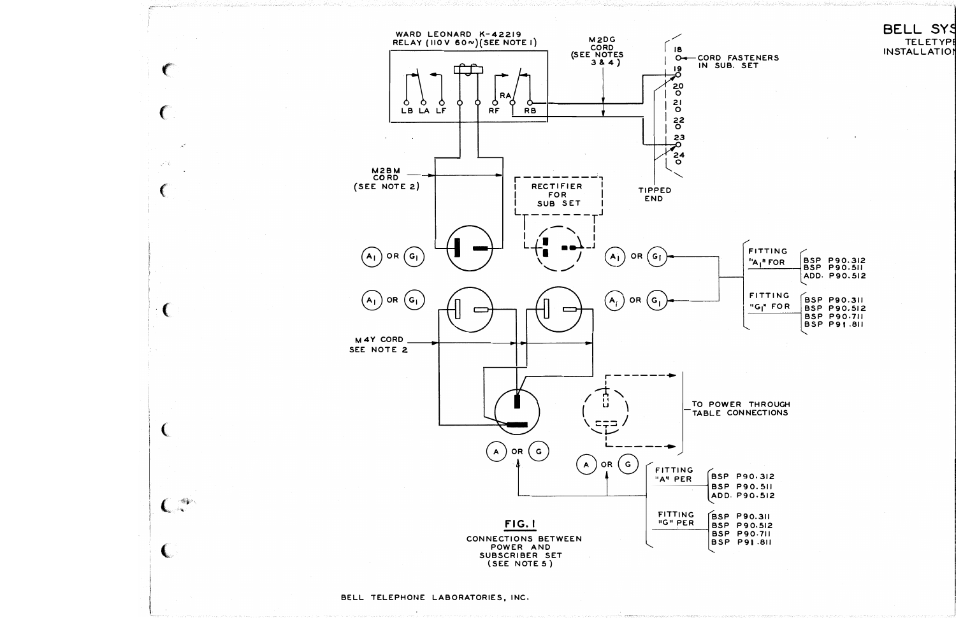